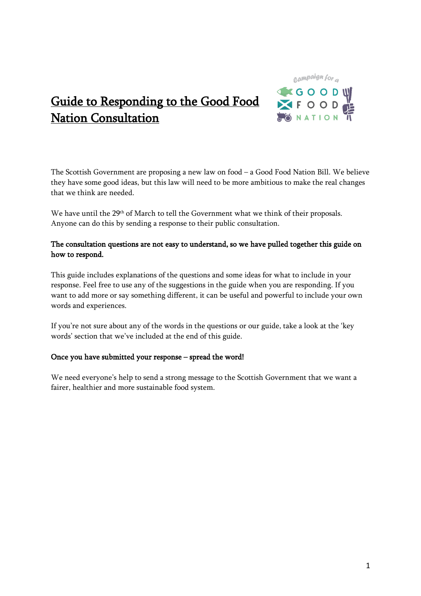

# Guide to Responding to the Good Food Nation Consultation

The Scottish Government are proposing a new law on food – a Good Food Nation Bill. We believe they have some good ideas, but this law will need to be more ambitious to make the real changes that we think are needed.

We have until the 29th of March to tell the Government what we think of their proposals. Anyone can do this by sending a response to their public consultation.

## The consultation questions are not easy to understand, so we have pulled together this guide on how to respond.

This guide includes explanations of the questions and some ideas for what to include in your response. Feel free to use any of the suggestions in the guide when you are responding. If you want to add more or say something different, it can be useful and powerful to include your own words and experiences.

If you're not sure about any of the words in the questions or our guide, take a look at the 'key words' section that we've included at the end of this guide.

## Once you have submitted your response – spread the word!

We need everyone's help to send a strong message to the Scottish Government that we want a fairer, healthier and more sustainable food system.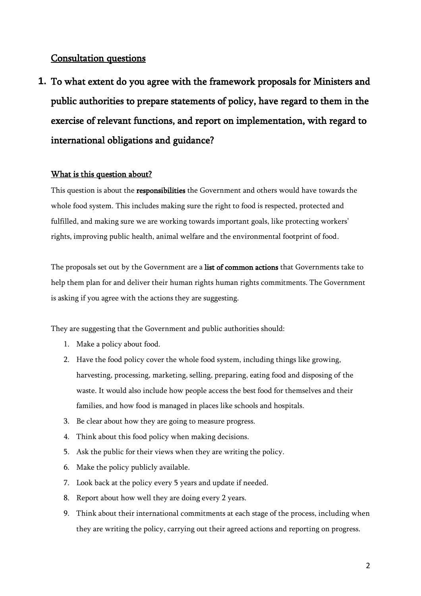## Consultation questions

**1.** To what extent do you agree with the framework proposals for Ministers and public authorities to prepare statements of policy, have regard to them in the exercise of relevant functions, and report on implementation, with regard to international obligations and guidance?

## What is this question about?

This question is about the **responsibilities** the Government and others would have towards the whole food system. This includes making sure the right to food is respected, protected and fulfilled, and making sure we are working towards important goals, like protecting workers' rights, improving public health, animal welfare and the environmental footprint of food.

The proposals set out by the Government are a list of common actions that Governments take to help them plan for and deliver their human rights human rights commitments. The Government is asking if you agree with the actions they are suggesting.

They are suggesting that the Government and public authorities should:

- 1. Make a policy about food.
- 2. Have the food policy cover the whole food system, including things like growing, harvesting, processing, marketing, selling, preparing, eating food and disposing of the waste. It would also include how people access the best food for themselves and their families, and how food is managed in places like schools and hospitals.
- 3. Be clear about how they are going to measure progress.
- 4. Think about this food policy when making decisions.
- 5. Ask the public for their views when they are writing the policy.
- 6. Make the policy publicly available.
- 7. Look back at the policy every 5 years and update if needed.
- 8. Report about how well they are doing every 2 years.
- 9. Think about their international commitments at each stage of the process, including when they are writing the policy, carrying out their agreed actions and reporting on progress.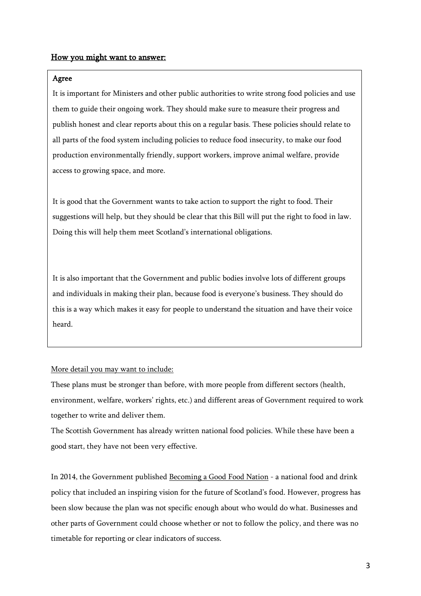### How you might want to answer:

### Agree

It is important for Ministers and other public authorities to write strong food policies and use them to guide their ongoing work. They should make sure to measure their progress and publish honest and clear reports about this on a regular basis. These policies should relate to all parts of the food system including policies to reduce food insecurity, to make our food production environmentally friendly, support workers, improve animal welfare, provide access to growing space, and more.

It is good that the Government wants to take action to support the right to food. Their suggestions will help, but they should be clear that this Bill will put the right to food in law. Doing this will help them meet Scotland's international obligations.

It is also important that the Government and public bodies involve lots of different groups and individuals in making their plan, because food is everyone's business. They should do this is a way which makes it easy for people to understand the situation and have their voice heard.

More detail you may want to include:

These plans must be stronger than before, with more people from different sectors (health, environment, welfare, workers' rights, etc.) and different areas of Government required to work together to write and deliver them.

The Scottish Government has already written national food policies. While these have been a good start, they have not been very effective.

In 2014, the Government published [Becoming a Good Food Nation](https://www.gov.scot/binaries/content/documents/govscot/publications/consultation-paper/2014/06/recipe-success-scotlands-national-food-drink-policy-becoming-good-food/documents/00453219-pdf/00453219-pdf/govscot%3Adocument) - a national food and drink policy that included an inspiring vision for the future of Scotland's food. However, progress has been slow because the plan was not specific enough about who would do what. Businesses and other parts of Government could choose whether or not to follow the policy, and there was no timetable for reporting or clear indicators of success.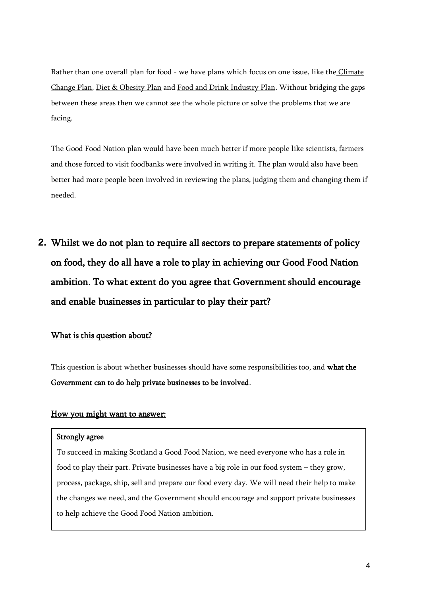Rather than one overall plan for food - we have plans which focus on one issue, like the [Climate](https://www.gov.scot/binaries/content/documents/govscot/publications/publication/2018/09/scottish-governments-climate-change-plan-third-report-proposals-policies-2018-9781788516488/documents/00540202-pdf/00540202-pdf/govscot%3Adocument)  [Change Plan,](https://www.gov.scot/binaries/content/documents/govscot/publications/publication/2018/09/scottish-governments-climate-change-plan-third-report-proposals-policies-2018-9781788516488/documents/00540202-pdf/00540202-pdf/govscot%3Adocument) [Diet & Obesity Plan](https://www.gov.scot/binaries/content/documents/govscot/publications/publication/2018/07/healthier-future-scotlands-diet-healthy-weight-delivery-plan/documents/00537708-pdf/00537708-pdf/govscot%3Adocument) and [Food and Drink Industry Plan.](https://www.foodanddrink.scot/media/1465/ambition-2030.pdf) Without bridging the gaps between these areas then we cannot see the whole picture or solve the problems that we are facing.

The Good Food Nation plan would have been much better if more people like scientists, farmers and those forced to visit foodbanks were involved in writing it. The plan would also have been better had more people been involved in reviewing the plans, judging them and changing them if needed.

**2.** Whilst we do not plan to require all sectors to prepare statements of policy on food, they do all have a role to play in achieving our Good Food Nation ambition. To what extent do you agree that Government should encourage and enable businesses in particular to play their part?

## What is this question about?

This question is about whether businesses should have some responsibilities too, and what the Government can to do help private businesses to be involved.

## How you might want to answer:

### Strongly agree

To succeed in making Scotland a Good Food Nation, we need everyone who has a role in food to play their part. Private businesses have a big role in our food system – they grow, process, package, ship, sell and prepare our food every day. We will need their help to make the changes we need, and the Government should encourage and support private businesses to help achieve the Good Food Nation ambition.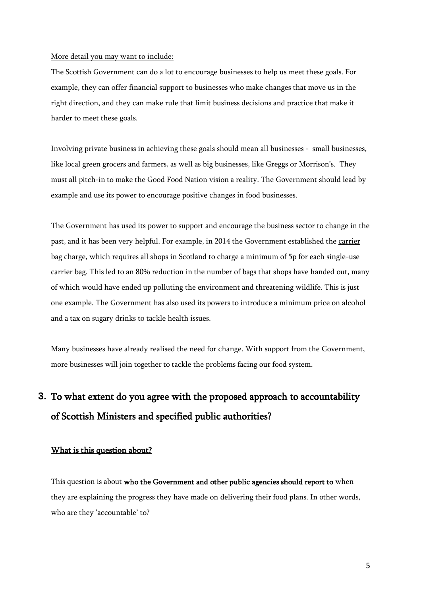#### More detail you may want to include:

The Scottish Government can do a lot to encourage businesses to help us meet these goals. For example, they can offer financial support to businesses who make changes that move us in the right direction, and they can make rule that limit business decisions and practice that make it harder to meet these goals.

Involving private business in achieving these goals should mean all businesses - small businesses, like local green grocers and farmers, as well as big businesses, like Greggs or Morrison's. They must all pitch-in to make the Good Food Nation vision a reality. The Government should lead by example and use its power to encourage positive changes in food businesses.

The Government has used its power to support and encourage the business sector to change in the past, and it has been very helpful. For example, in 2014 the Government established the [carrier](https://www.mygov.scot/carrier-bag-charge/)  [bag charge,](https://www.mygov.scot/carrier-bag-charge/) which requires all shops in Scotland to charge a minimum of 5p for each single-use carrier bag. This led to an 80% reduction in the number of bags that shops have handed out, many of which would have ended up polluting the environment and threatening wildlife. This is just one example. The Government has also used its powers to introduce a minimum price on alcohol and a tax on sugary drinks to tackle health issues.

Many businesses have already realised the need for change. With support from the Government, more businesses will join together to tackle the problems facing our food system.

## **3.** To what extent do you agree with the proposed approach to accountability of Scottish Ministers and specified public authorities?

### What is this question about?

This question is about who the Government and other public agencies should report to when they are explaining the progress they have made on delivering their food plans. In other words, who are they 'accountable' to?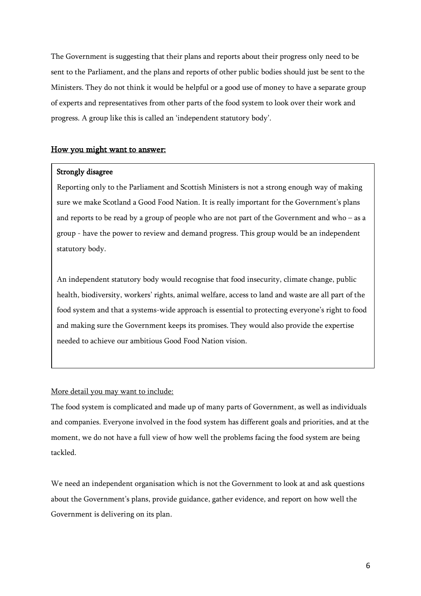The Government is suggesting that their plans and reports about their progress only need to be sent to the Parliament, and the plans and reports of other public bodies should just be sent to the Ministers. They do not think it would be helpful or a good use of money to have a separate group of experts and representatives from other parts of the food system to look over their work and progress. A group like this is called an 'independent statutory body'.

### How you might want to answer:

### Strongly disagree

Reporting only to the Parliament and Scottish Ministers is not a strong enough way of making sure we make Scotland a Good Food Nation. It is really important for the Government's plans and reports to be read by a group of people who are not part of the Government and who – as a group - have the power to review and demand progress. This group would be an independent statutory body.

An independent statutory body would recognise that food insecurity, climate change, public health, biodiversity, workers' rights, animal welfare, access to land and waste are all part of the food system and that a systems-wide approach is essential to protecting everyone's right to food and making sure the Government keeps its promises. They would also provide the expertise needed to achieve our ambitious Good Food Nation vision.

More detail you may want to include:

The food system is complicated and made up of many parts of Government, as well as individuals and companies. Everyone involved in the food system has different goals and priorities, and at the moment, we do not have a full view of how well the problems facing the food system are being tackled.

We need an independent organisation which is not the Government to look at and ask questions about the Government's plans, provide guidance, gather evidence, and report on how well the Government is delivering on its plan.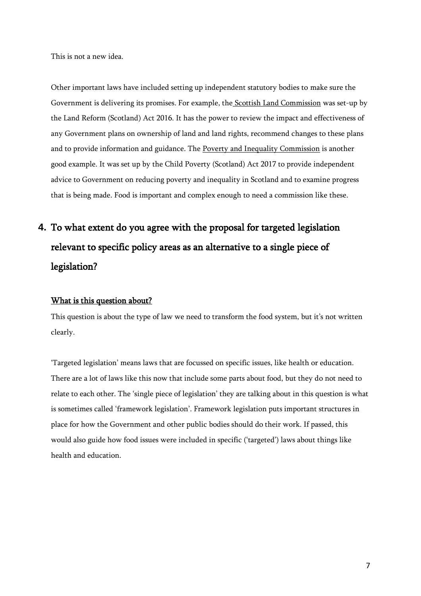This is not a new idea.

Other important laws have included setting up independent statutory bodies to make sure the Government is delivering its promises. For example, the [Scottish Land Commission](https://landcommission.gov.scot/) was set-up by the Land Reform (Scotland) Act 2016. It has the power to review the impact and effectiveness of any Government plans on ownership of land and land rights, recommend changes to these plans and to provide information and guidance. The [Poverty and Inequality Commission](https://povertyinequality.scot/what-we-do/) is another good example. It was set up by the Child Poverty (Scotland) Act 2017 to provide independent advice to Government on reducing poverty and inequality in Scotland and to examine progress that is being made. Food is important and complex enough to need a commission like these.

# **4.** To what extent do you agree with the proposal for targeted legislation relevant to specific policy areas as an alternative to a single piece of legislation?

### What is this question about?

This question is about the type of law we need to transform the food system, but it's not written clearly.

'Targeted legislation' means laws that are focussed on specific issues, like health or education. There are a lot of laws like this now that include some parts about food, but they do not need to relate to each other. The 'single piece of legislation' they are talking about in this question is what is sometimes called 'framework legislation'. Framework legislation puts important structures in place for how the Government and other public bodies should do their work. If passed, this would also guide how food issues were included in specific ('targeted') laws about things like health and education.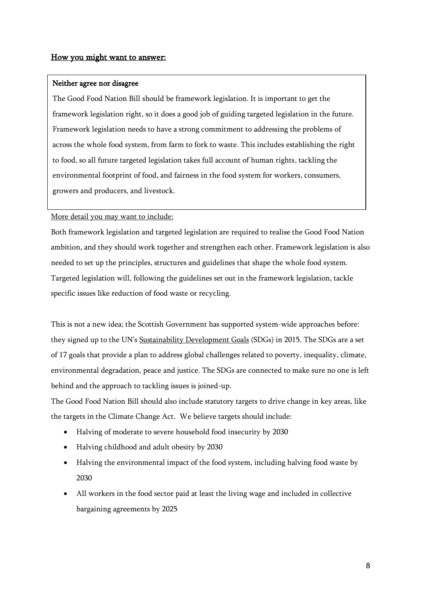### How you might want to answer:

### Neither agree nor disagree

The Good Food Nation Bill should be framework legislation. It is important to get the framework legislation right, so it does a good job of guiding targeted legislation in the future. Framework legislation needs to have a strong commitment to addressing the problems of across the whole food system, from farm to fork to waste. This includes establishing the right to food, so all future targeted legislation takes full account of human rights, tackling the environmental footprint of food, and fairness in the food system for workers, consumers, growers and producers, and livestock.

### More detail you may want to include:

Both framework legislation and targeted legislation are required to realise the Good Food Nation ambition, and they should work together and strengthen each other. Framework legislation is also needed to set up the principles, structures and guidelines that shape the whole food system. Targeted legislation will, following the guidelines set out in the framework legislation, tackle specific issues like reduction of food waste or recycling.

This is not a new idea; the Scottish Government has supported system-wide approaches before: they signed up to the UN's [Sustainability Development Goals](https://www.un.org/sustainabledevelopment/sustainable-development-goals/) (SDGs) in 2015. The SDGs are a set of 17 goals that provide a plan to address global challenges related to poverty, inequality, climate, environmental degradation, peace and justice. The SDGs are connected to make sure no one is left behind and the approach to tackling issues is joined-up.

The Good Food Nation Bill should also include statutory targets to drive change in key areas, like the targets in the Climate Change Act. We believe targets should include:

- Halving of moderate to severe household food insecurity by 2030
- Halving childhood and adult obesity by 2030
- Halving the environmental impact of the food system, including halving food waste by 2030
- All workers in the food sector paid at least the living wage and included in collective bargaining agreements by 2025